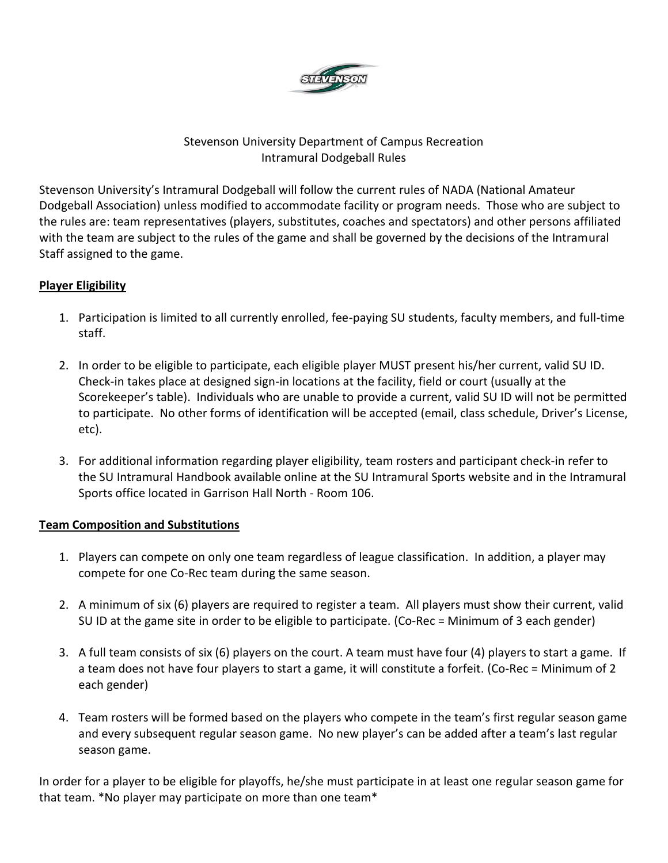

#### Stevenson University Department of Campus Recreation Intramural Dodgeball Rules

Stevenson University's Intramural Dodgeball will follow the current rules of NADA (National Amateur Dodgeball Association) unless modified to accommodate facility or program needs. Those who are subject to the rules are: team representatives (players, substitutes, coaches and spectators) and other persons affiliated with the team are subject to the rules of the game and shall be governed by the decisions of the Intramural Staff assigned to the game.

# **Player Eligibility**

- 1. Participation is limited to all currently enrolled, fee-paying SU students, faculty members, and full-time staff.
- 2. In order to be eligible to participate, each eligible player MUST present his/her current, valid SU ID. Check-in takes place at designed sign-in locations at the facility, field or court (usually at the Scorekeeper's table). Individuals who are unable to provide a current, valid SU ID will not be permitted to participate. No other forms of identification will be accepted (email, class schedule, Driver's License, etc).
- 3. For additional information regarding player eligibility, team rosters and participant check-in refer to the SU Intramural Handbook available online at the SU Intramural Sports website and in the Intramural Sports office located in Garrison Hall North - Room 106.

# **Team Composition and Substitutions**

- 1. Players can compete on only one team regardless of league classification. In addition, a player may compete for one Co-Rec team during the same season.
- 2. A minimum of six (6) players are required to register a team. All players must show their current, valid SU ID at the game site in order to be eligible to participate. (Co-Rec = Minimum of 3 each gender)
- 3. A full team consists of six (6) players on the court. A team must have four (4) players to start a game. If a team does not have four players to start a game, it will constitute a forfeit. (Co-Rec = Minimum of 2 each gender)
- 4. Team rosters will be formed based on the players who compete in the team's first regular season game and every subsequent regular season game. No new player's can be added after a team's last regular season game.

In order for a player to be eligible for playoffs, he/she must participate in at least one regular season game for that team. \*No player may participate on more than one team\*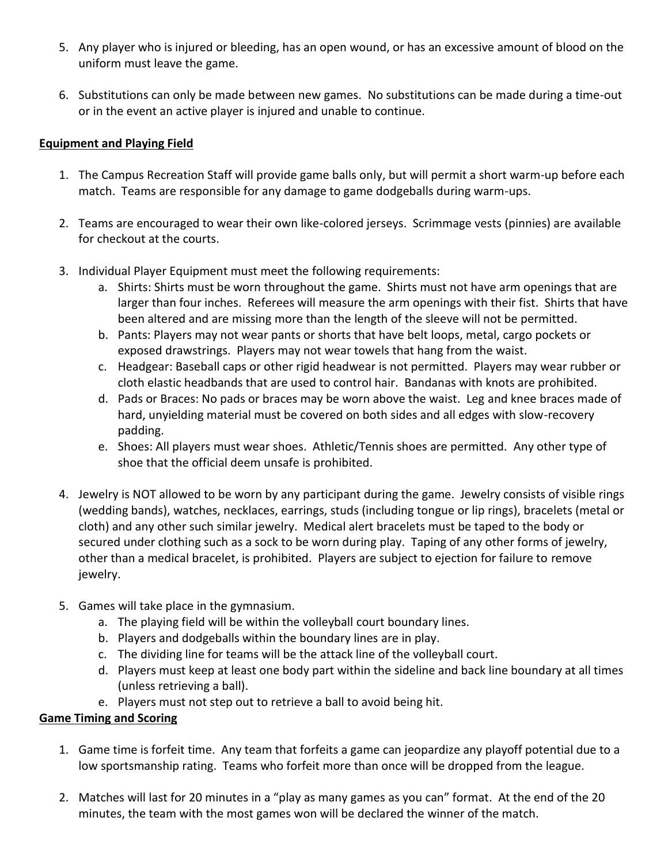- 5. Any player who is injured or bleeding, has an open wound, or has an excessive amount of blood on the uniform must leave the game.
- 6. Substitutions can only be made between new games. No substitutions can be made during a time-out or in the event an active player is injured and unable to continue.

# **Equipment and Playing Field**

- 1. The Campus Recreation Staff will provide game balls only, but will permit a short warm-up before each match. Teams are responsible for any damage to game dodgeballs during warm-ups.
- 2. Teams are encouraged to wear their own like-colored jerseys. Scrimmage vests (pinnies) are available for checkout at the courts.
- 3. Individual Player Equipment must meet the following requirements:
	- a. Shirts: Shirts must be worn throughout the game. Shirts must not have arm openings that are larger than four inches. Referees will measure the arm openings with their fist. Shirts that have been altered and are missing more than the length of the sleeve will not be permitted.
	- b. Pants: Players may not wear pants or shorts that have belt loops, metal, cargo pockets or exposed drawstrings. Players may not wear towels that hang from the waist.
	- c. Headgear: Baseball caps or other rigid headwear is not permitted. Players may wear rubber or cloth elastic headbands that are used to control hair. Bandanas with knots are prohibited.
	- d. Pads or Braces: No pads or braces may be worn above the waist. Leg and knee braces made of hard, unyielding material must be covered on both sides and all edges with slow-recovery padding.
	- e. Shoes: All players must wear shoes. Athletic/Tennis shoes are permitted. Any other type of shoe that the official deem unsafe is prohibited.
- 4. Jewelry is NOT allowed to be worn by any participant during the game. Jewelry consists of visible rings (wedding bands), watches, necklaces, earrings, studs (including tongue or lip rings), bracelets (metal or cloth) and any other such similar jewelry. Medical alert bracelets must be taped to the body or secured under clothing such as a sock to be worn during play. Taping of any other forms of jewelry, other than a medical bracelet, is prohibited. Players are subject to ejection for failure to remove jewelry.
- 5. Games will take place in the gymnasium.
	- a. The playing field will be within the volleyball court boundary lines.
	- b. Players and dodgeballs within the boundary lines are in play.
	- c. The dividing line for teams will be the attack line of the volleyball court.
	- d. Players must keep at least one body part within the sideline and back line boundary at all times (unless retrieving a ball).
	- e. Players must not step out to retrieve a ball to avoid being hit.

# **Game Timing and Scoring**

- 1. Game time is forfeit time. Any team that forfeits a game can jeopardize any playoff potential due to a low sportsmanship rating. Teams who forfeit more than once will be dropped from the league.
- 2. Matches will last for 20 minutes in a "play as many games as you can" format. At the end of the 20 minutes, the team with the most games won will be declared the winner of the match.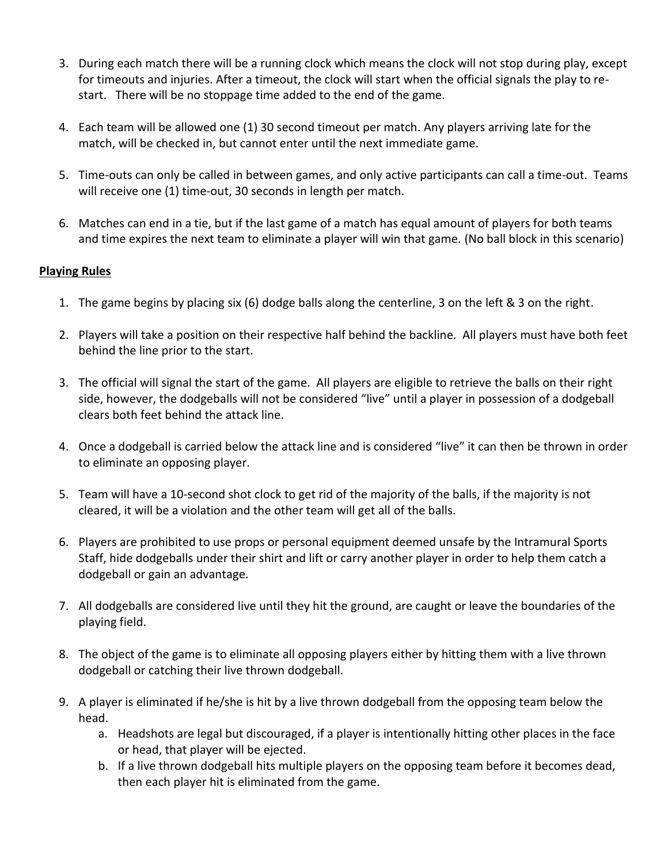- 3. During each match there will be a running clock which means the clock will not stop during play, except for timeouts and injuries. After a timeout, the clock will start when the official signals the play to restart. There will be no stoppage time added to the end of the game.
- 4. Each team will be allowed one (1) 30 second timeout per match. Any players arriving late for the match, will be checked in, but cannot enter until the next immediate game.
- 5. Time-outs can only be called in between games, and only active participants can call a time-out. Teams will receive one (1) time-out, 30 seconds in length per match.
- 6. Matches can end in a tie, but if the last game of a match has equal amount of players for both teams and time expires the next team to eliminate a player will win that game. (No ball block in this scenario)

# **Playing Rules**

- 1. The game begins by placing six (6) dodge balls along the centerline, 3 on the left & 3 on the right.
- 2. Players will take a position on their respective half behind the backline. All players must have both feet behind the line prior to the start.
- 3. The official will signal the start of the game. All players are eligible to retrieve the balls on their right side, however, the dodgeballs will not be considered "live" until a player in possession of a dodgeball clears both feet behind the attack line.
- 4. Once a dodgeball is carried below the attack line and is considered "live" it can then be thrown in order to eliminate an opposing player.
- 5. Team will have a 10-second shot clock to get rid of the majority of the balls, if the majority is not cleared, it will be a violation and the other team will get all of the balls.
- 6. Players are prohibited to use props or personal equipment deemed unsafe by the Intramural Sports Staff, hide dodgeballs under their shirt and lift or carry another player in order to help them catch a dodgeball or gain an advantage.
- 7. All dodgeballs are considered live until they hit the ground, are caught or leave the boundaries of the playing field.
- 8. The object of the game is to eliminate all opposing players either by hitting them with a live thrown dodgeball or catching their live thrown dodgeball.
- 9. A player is eliminated if he/she is hit by a live thrown dodgeball from the opposing team below the head.
	- a. Headshots are legal but discouraged, if a player is intentionally hitting other places in the face or head, that player will be ejected.
	- b. If a live thrown dodgeball hits multiple players on the opposing team before it becomes dead, then each player hit is eliminated from the game.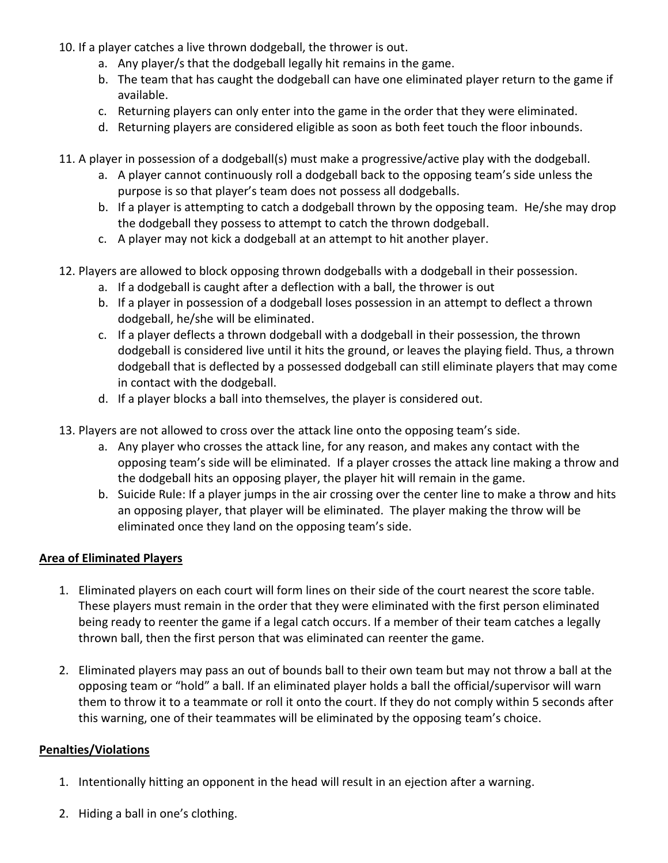- 10. If a player catches a live thrown dodgeball, the thrower is out.
	- a. Any player/s that the dodgeball legally hit remains in the game.
	- b. The team that has caught the dodgeball can have one eliminated player return to the game if available.
	- c. Returning players can only enter into the game in the order that they were eliminated.
	- d. Returning players are considered eligible as soon as both feet touch the floor inbounds.
- 11. A player in possession of a dodgeball(s) must make a progressive/active play with the dodgeball.
	- a. A player cannot continuously roll a dodgeball back to the opposing team's side unless the purpose is so that player's team does not possess all dodgeballs.
	- b. If a player is attempting to catch a dodgeball thrown by the opposing team. He/she may drop the dodgeball they possess to attempt to catch the thrown dodgeball.
	- c. A player may not kick a dodgeball at an attempt to hit another player.
- 12. Players are allowed to block opposing thrown dodgeballs with a dodgeball in their possession.
	- a. If a dodgeball is caught after a deflection with a ball, the thrower is out
	- b. If a player in possession of a dodgeball loses possession in an attempt to deflect a thrown dodgeball, he/she will be eliminated.
	- c. If a player deflects a thrown dodgeball with a dodgeball in their possession, the thrown dodgeball is considered live until it hits the ground, or leaves the playing field. Thus, a thrown dodgeball that is deflected by a possessed dodgeball can still eliminate players that may come in contact with the dodgeball.
	- d. If a player blocks a ball into themselves, the player is considered out.
- 13. Players are not allowed to cross over the attack line onto the opposing team's side.
	- a. Any player who crosses the attack line, for any reason, and makes any contact with the opposing team's side will be eliminated. If a player crosses the attack line making a throw and the dodgeball hits an opposing player, the player hit will remain in the game.
	- b. Suicide Rule: If a player jumps in the air crossing over the center line to make a throw and hits an opposing player, that player will be eliminated. The player making the throw will be eliminated once they land on the opposing team's side.

# **Area of Eliminated Players**

- 1. Eliminated players on each court will form lines on their side of the court nearest the score table. These players must remain in the order that they were eliminated with the first person eliminated being ready to reenter the game if a legal catch occurs. If a member of their team catches a legally thrown ball, then the first person that was eliminated can reenter the game.
- 2. Eliminated players may pass an out of bounds ball to their own team but may not throw a ball at the opposing team or "hold" a ball. If an eliminated player holds a ball the official/supervisor will warn them to throw it to a teammate or roll it onto the court. If they do not comply within 5 seconds after this warning, one of their teammates will be eliminated by the opposing team's choice.

# **Penalties/Violations**

- 1. Intentionally hitting an opponent in the head will result in an ejection after a warning.
- 2. Hiding a ball in one's clothing.